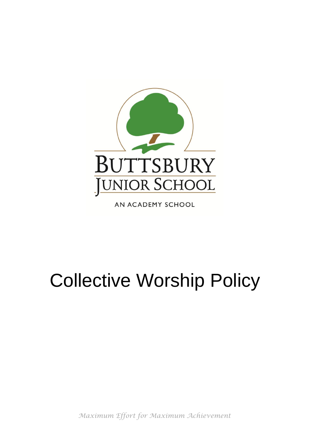

AN ACADEMY SCHOOL

# Collective Worship Policy

*Maximum Effort for Maximum Achievement*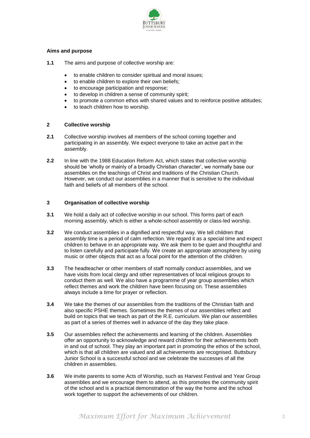

#### **Aims and purpose**

- **1.1** The aims and purpose of collective worship are:
	- to enable children to consider spiritual and moral issues;
	- to enable children to explore their own beliefs;
	- to encourage participation and response;
	- to develop in children a sense of community spirit;
	- to promote a common ethos with shared values and to reinforce positive attitudes;
	- to teach children how to worship.

## **2 Collective worship**

- **2.1** Collective worship involves all members of the school coming together and participating in an assembly. We expect everyone to take an active part in the assembly.
- **2.2** In line with the 1988 Education Reform Act, which states that collective worship should be 'wholly or mainly of a broadly Christian character', we normally base our assemblies on the teachings of Christ and traditions of the Christian Church. However, we conduct our assemblies in a manner that is sensitive to the individual faith and beliefs of all members of the school.

## **3 Organisation of collective worship**

- **3.1** We hold a daily act of collective worship in our school. This forms part of each morning assembly, which is either a whole-school assembly or class-led worship.
- **3.2** We conduct assemblies in a dignified and respectful way. We tell children that assembly time is a period of calm reflection. We regard it as a special time and expect children to behave in an appropriate way. We ask them to be quiet and thoughtful and to listen carefully and participate fully. We create an appropriate atmosphere by using music or other objects that act as a focal point for the attention of the children.
- **3.3** The headteacher or other members of staff normally conduct assemblies, and we have visits from local clergy and other representatives of local religious groups to conduct them as well. We also have a programme of year group assemblies which reflect themes and work the children have been focusing on. These assemblies always include a time for prayer or reflection.
- **3.4** We take the themes of our assemblies from the traditions of the Christian faith and also specific PSHE themes. Sometimes the themes of our assemblies reflect and build on topics that we teach as part of the R.E. curriculum. We plan our assemblies as part of a series of themes well in advance of the day they take place.
- **3.5** Our assemblies reflect the achievements and learning of the children. Assemblies offer an opportunity to acknowledge and reward children for their achievements both in and out of school. They play an important part in promoting the ethos of the school, which is that all children are valued and all achievements are recognised. Buttsbury Junior School is a successful school and we celebrate the successes of all the children in assemblies.
- **3.6** We invite parents to some Acts of Worship, such as Harvest Festival and Year Group assemblies and we encourage them to attend, as this promotes the community spirit of the school and is a practical demonstration of the way the home and the school work together to support the achievements of our children.